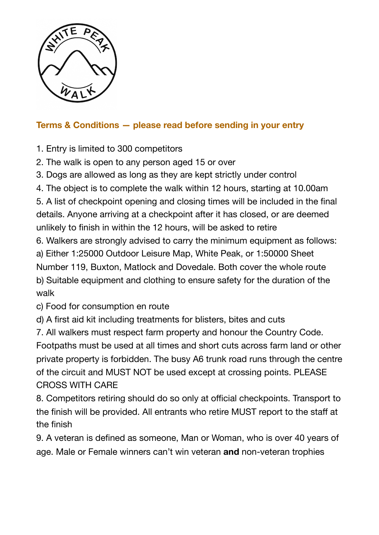

## **Terms & Conditions — please read before sending in your entry**

- 1. Entry is limited to 300 competitors
- 2. The walk is open to any person aged 15 or over
- 3. Dogs are allowed as long as they are kept strictly under control

4. The object is to complete the walk within 12 hours, starting at 10.00am

5. A list of checkpoint opening and closing times will be included in the final details. Anyone arriving at a checkpoint after it has closed, or are deemed unlikely to finish in within the 12 hours, will be asked to retire

6. Walkers are strongly advised to carry the minimum equipment as follows:

a) Either 1:25000 Outdoor Leisure Map, White Peak, or 1:50000 Sheet

Number 119, Buxton, Matlock and Dovedale. Both cover the whole route b) Suitable equipment and clothing to ensure safety for the duration of the walk

c) Food for consumption en route

d) A first aid kit including treatments for blisters, bites and cuts

7. All walkers must respect farm property and honour the Country Code.

Footpaths must be used at all times and short cuts across farm land or other private property is forbidden. The busy A6 trunk road runs through the centre of the circuit and MUST NOT be used except at crossing points. PLEASE CROSS WITH CARE

8. Competitors retiring should do so only at official checkpoints. Transport to the finish will be provided. All entrants who retire MUST report to the staff at the finish

9. A veteran is defined as someone, Man or Woman, who is over 40 years of age. Male or Female winners can't win veteran **and** non-veteran trophies